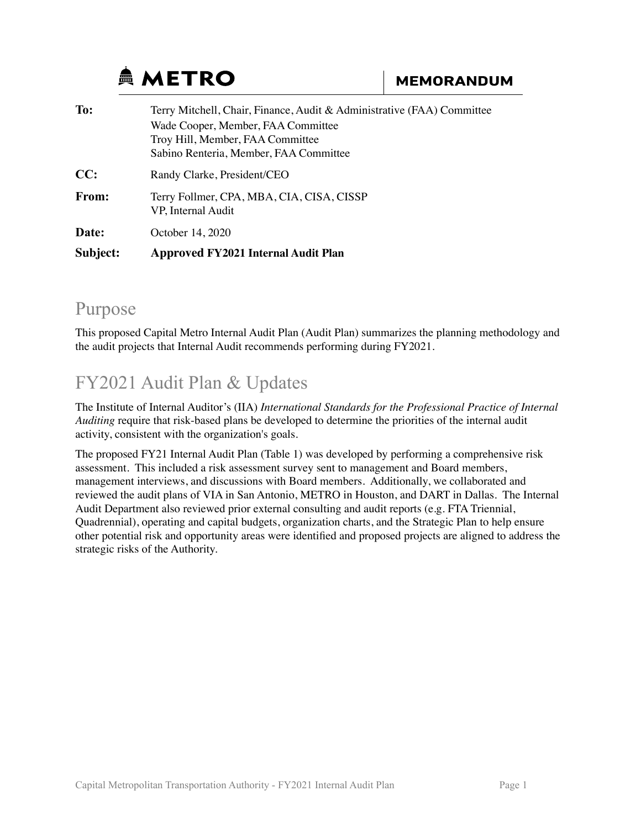# **AMETRO**

| To:      | Terry Mitchell, Chair, Finance, Audit & Administrative (FAA) Committee                                           |  |  |  |  |  |
|----------|------------------------------------------------------------------------------------------------------------------|--|--|--|--|--|
|          | Wade Cooper, Member, FAA Committee<br>Troy Hill, Member, FAA Committee<br>Sabino Renteria, Member, FAA Committee |  |  |  |  |  |
| CC:      | Randy Clarke, President/CEO                                                                                      |  |  |  |  |  |
| From:    | Terry Follmer, CPA, MBA, CIA, CISA, CISSP<br>VP, Internal Audit                                                  |  |  |  |  |  |
| Date:    | October 14, 2020                                                                                                 |  |  |  |  |  |
| Subject: | Approved FY2021 Internal Audit Plan                                                                              |  |  |  |  |  |

#### Purpose

This proposed Capital Metro Internal Audit Plan (Audit Plan) summarizes the planning methodology and the audit projects that Internal Audit recommends performing during FY2021.

## FY2021 Audit Plan & Updates

The Institute of Internal Auditor's (IIA) *International Standards for the Professional Practice of Internal Auditing* require that risk-based plans be developed to determine the priorities of the internal audit activity, consistent with the organization's goals.

The proposed FY21 Internal Audit Plan (Table 1) was developed by performing a comprehensive risk assessment. This included a risk assessment survey sent to management and Board members, management interviews, and discussions with Board members. Additionally, we collaborated and reviewed the audit plans of VIA in San Antonio, METRO in Houston, and DART in Dallas. The Internal Audit Department also reviewed prior external consulting and audit reports (e.g. FTA Triennial, Quadrennial), operating and capital budgets, organization charts, and the Strategic Plan to help ensure other potential risk and opportunity areas were identified and proposed projects are aligned to address the strategic risks of the Authority.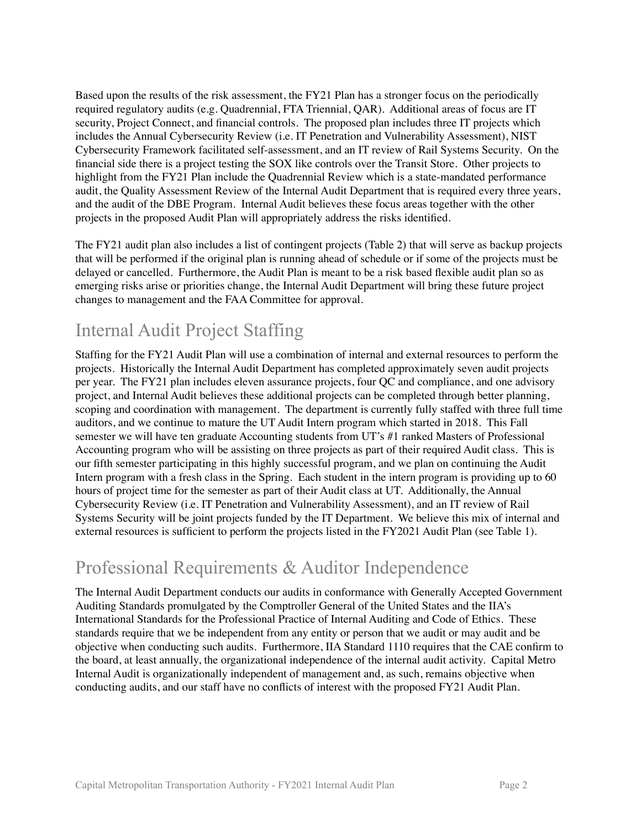Based upon the results of the risk assessment, the FY21 Plan has a stronger focus on the periodically required regulatory audits (e.g. Quadrennial, FTA Triennial, QAR). Additional areas of focus are IT security, Project Connect, and financial controls. The proposed plan includes three IT projects which includes the Annual Cybersecurity Review (i.e. IT Penetration and Vulnerability Assessment), NIST Cybersecurity Framework facilitated self-assessment, and an IT review of Rail Systems Security. On the financial side there is a project testing the SOX like controls over the Transit Store. Other projects to highlight from the FY21 Plan include the Quadrennial Review which is a state-mandated performance audit, the Quality Assessment Review of the Internal Audit Department that is required every three years, and the audit of the DBE Program. Internal Audit believes these focus areas together with the other projects in the proposed Audit Plan will appropriately address the risks identified.

The FY21 audit plan also includes a list of contingent projects (Table 2) that will serve as backup projects that will be performed if the original plan is running ahead of schedule or if some of the projects must be delayed or cancelled. Furthermore, the Audit Plan is meant to be a risk based flexible audit plan so as emerging risks arise or priorities change, the Internal Audit Department will bring these future project changes to management and the FAA Committee for approval.

### Internal Audit Project Staffing

Staffing for the FY21 Audit Plan will use a combination of internal and external resources to perform the projects. Historically the Internal Audit Department has completed approximately seven audit projects per year. The FY21 plan includes eleven assurance projects, four QC and compliance, and one advisory project, and Internal Audit believes these additional projects can be completed through better planning, scoping and coordination with management. The department is currently fully staffed with three full time auditors, and we continue to mature the UT Audit Intern program which started in 2018. This Fall semester we will have ten graduate Accounting students from UT's #1 ranked Masters of Professional Accounting program who will be assisting on three projects as part of their required Audit class. This is our fifth semester participating in this highly successful program, and we plan on continuing the Audit Intern program with a fresh class in the Spring. Each student in the intern program is providing up to 60 hours of project time for the semester as part of their Audit class at UT. Additionally, the Annual Cybersecurity Review (i.e. IT Penetration and Vulnerability Assessment), and an IT review of Rail Systems Security will be joint projects funded by the IT Department. We believe this mix of internal and external resources is sufficient to perform the projects listed in the FY2021 Audit Plan (see Table 1).

### Professional Requirements & Auditor Independence

The Internal Audit Department conducts our audits in conformance with Generally Accepted Government Auditing Standards promulgated by the Comptroller General of the United States and the IIA's International Standards for the Professional Practice of Internal Auditing and Code of Ethics. These standards require that we be independent from any entity or person that we audit or may audit and be objective when conducting such audits. Furthermore, IIA Standard 1110 requires that the CAE confirm to the board, at least annually, the organizational independence of the internal audit activity. Capital Metro Internal Audit is organizationally independent of management and, as such, remains objective when conducting audits, and our staff have no conflicts of interest with the proposed FY21 Audit Plan.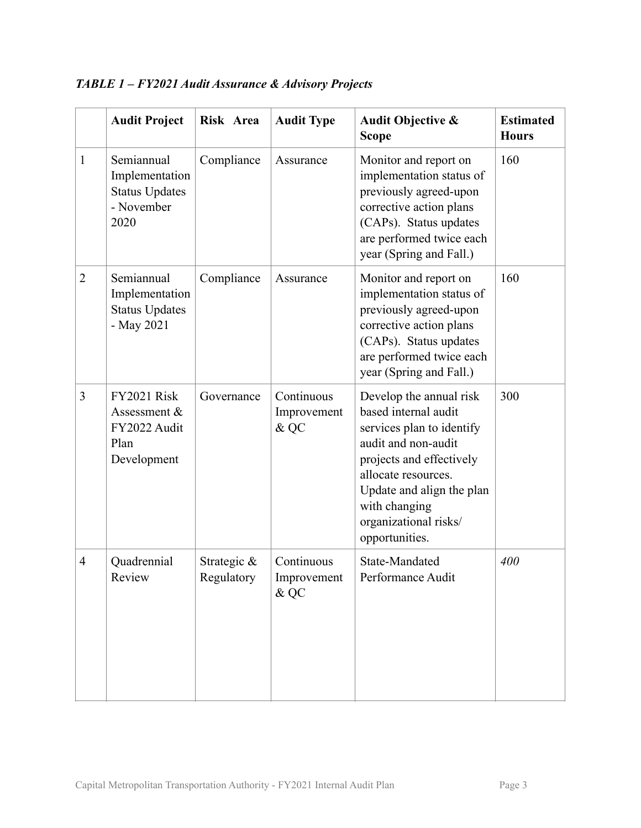|                | <b>Audit Project</b>                                                        | Risk Area                    | <b>Audit Type</b>                    | <b>Audit Objective &amp;</b><br><b>Scope</b>                                                                                                                                                                                                    | <b>Estimated</b><br><b>Hours</b> |
|----------------|-----------------------------------------------------------------------------|------------------------------|--------------------------------------|-------------------------------------------------------------------------------------------------------------------------------------------------------------------------------------------------------------------------------------------------|----------------------------------|
| $\mathbf{1}$   | Semiannual<br>Implementation<br><b>Status Updates</b><br>- November<br>2020 | Compliance                   | Assurance                            | Monitor and report on<br>implementation status of<br>previously agreed-upon<br>corrective action plans<br>(CAPs). Status updates<br>are performed twice each<br>year (Spring and Fall.)                                                         | 160                              |
| $\overline{2}$ | Semiannual<br>Implementation<br><b>Status Updates</b><br>- May 2021         | Compliance                   | Assurance                            | Monitor and report on<br>implementation status of<br>previously agreed-upon<br>corrective action plans<br>(CAPs). Status updates<br>are performed twice each<br>year (Spring and Fall.)                                                         | 160                              |
| 3              | <b>FY2021 Risk</b><br>Assessment &<br>FY2022 Audit<br>Plan<br>Development   | Governance                   | Continuous<br>Improvement<br>& QC    | Develop the annual risk<br>based internal audit<br>services plan to identify<br>audit and non-audit<br>projects and effectively<br>allocate resources.<br>Update and align the plan<br>with changing<br>organizational risks/<br>opportunities. | 300                              |
| $\overline{4}$ | Quadrennial<br>Review                                                       | Strategic $\&$<br>Regulatory | Continuous<br>Improvement<br>$\&$ QC | State-Mandated<br>Performance Audit                                                                                                                                                                                                             | 400                              |

#### *TABLE 1 – FY2021 Audit Assurance & Advisory Projects*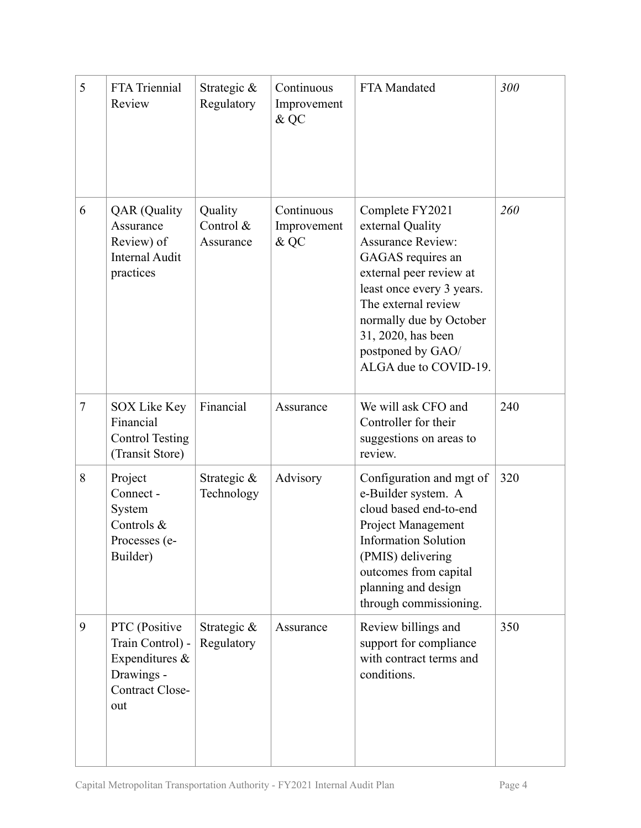| 5              | FTA Triennial<br>Review                                                                     | Strategic &<br>Regulatory         | Continuous<br>Improvement<br>& QC | FTA Mandated                                                                                                                                                                                                                                                       | 300 |
|----------------|---------------------------------------------------------------------------------------------|-----------------------------------|-----------------------------------|--------------------------------------------------------------------------------------------------------------------------------------------------------------------------------------------------------------------------------------------------------------------|-----|
| 6              | <b>QAR</b> (Quality<br>Assurance<br>Review) of<br><b>Internal Audit</b><br>practices        | Quality<br>Control &<br>Assurance | Continuous<br>Improvement<br>& QC | Complete FY2021<br>external Quality<br><b>Assurance Review:</b><br>GAGAS requires an<br>external peer review at<br>least once every 3 years.<br>The external review<br>normally due by October<br>31, 2020, has been<br>postponed by GAO/<br>ALGA due to COVID-19. | 260 |
| $\overline{7}$ | <b>SOX Like Key</b><br>Financial<br><b>Control Testing</b><br>(Transit Store)               | Financial                         | Assurance                         | We will ask CFO and<br>Controller for their<br>suggestions on areas to<br>review.                                                                                                                                                                                  | 240 |
| 8              | Project<br>Connect -<br>System<br>Controls &<br>Processes (e-<br>Builder)                   | Strategic &<br>Technology         | Advisory                          | Configuration and mgt of<br>e-Builder system. A<br>cloud based end-to-end<br><b>Project Management</b><br><b>Information Solution</b><br>(PMIS) delivering<br>outcomes from capital<br>planning and design<br>through commissioning.                               | 320 |
| 9              | PTC (Positive<br>Train Control) -<br>Expenditures &<br>Drawings -<br>Contract Close-<br>out | Strategic &<br>Regulatory         | Assurance                         | Review billings and<br>support for compliance<br>with contract terms and<br>conditions.                                                                                                                                                                            | 350 |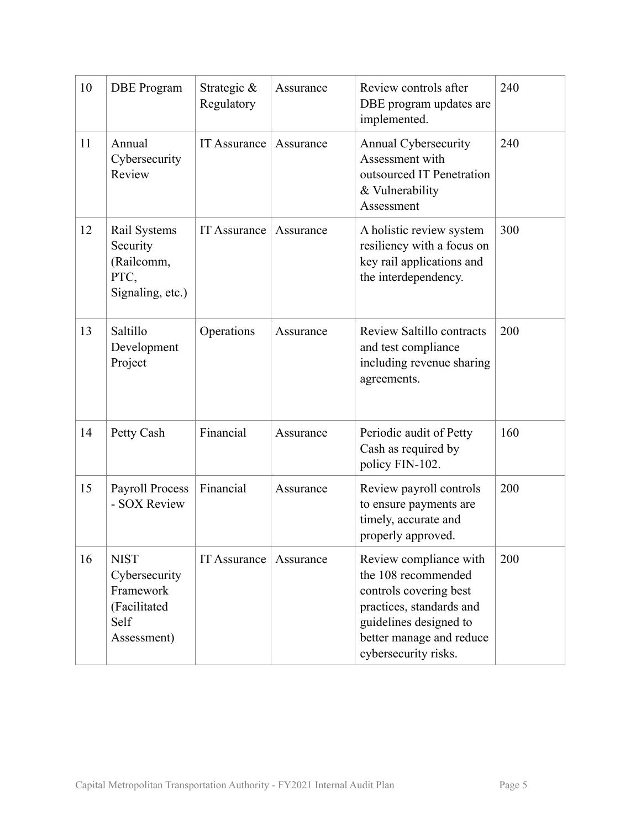| 10 | <b>DBE</b> Program                                                               | Strategic &<br>Regulatory | Assurance | Review controls after<br>DBE program updates are<br>implemented.                                                                                                                  | 240 |
|----|----------------------------------------------------------------------------------|---------------------------|-----------|-----------------------------------------------------------------------------------------------------------------------------------------------------------------------------------|-----|
| 11 | Annual<br>Cybersecurity<br>Review                                                | <b>IT Assurance</b>       | Assurance | Annual Cybersecurity<br>Assessment with<br>outsourced IT Penetration<br>& Vulnerability<br>Assessment                                                                             | 240 |
| 12 | Rail Systems<br>Security<br>(Railcomm,<br>PTC,<br>Signaling, etc.)               | <b>IT Assurance</b>       | Assurance | A holistic review system<br>resiliency with a focus on<br>key rail applications and<br>the interdependency.                                                                       | 300 |
| 13 | Saltillo<br>Development<br>Project                                               | Operations                | Assurance | <b>Review Saltillo contracts</b><br>and test compliance<br>including revenue sharing<br>agreements.                                                                               | 200 |
| 14 | Petty Cash                                                                       | Financial                 | Assurance | Periodic audit of Petty<br>Cash as required by<br>policy FIN-102.                                                                                                                 | 160 |
| 15 | <b>Payroll Process</b><br>- SOX Review                                           | Financial                 | Assurance | Review payroll controls<br>to ensure payments are<br>timely, accurate and<br>properly approved.                                                                                   | 200 |
| 16 | <b>NIST</b><br>Cybersecurity<br>Framework<br>(Facilitated<br>Self<br>Assessment) | <b>IT Assurance</b>       | Assurance | Review compliance with<br>the 108 recommended<br>controls covering best<br>practices, standards and<br>guidelines designed to<br>better manage and reduce<br>cybersecurity risks. | 200 |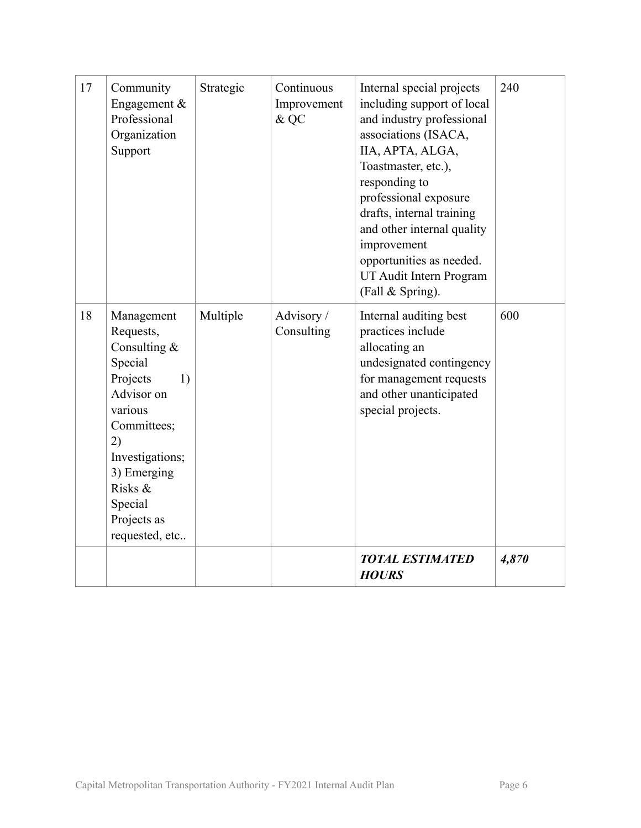| 17 | Community<br>Engagement $&$<br>Professional<br>Organization<br>Support                                                                                                                                        | Strategic | Continuous<br>Improvement<br>& QC | Internal special projects<br>including support of local<br>and industry professional<br>associations (ISACA,<br>IIA, APTA, ALGA,<br>Toastmaster, etc.),<br>responding to<br>professional exposure<br>drafts, internal training<br>and other internal quality<br>improvement<br>opportunities as needed.<br>UT Audit Intern Program<br>(Fall & Spring). | 240   |
|----|---------------------------------------------------------------------------------------------------------------------------------------------------------------------------------------------------------------|-----------|-----------------------------------|--------------------------------------------------------------------------------------------------------------------------------------------------------------------------------------------------------------------------------------------------------------------------------------------------------------------------------------------------------|-------|
| 18 | Management<br>Requests,<br>Consulting $&$<br>Special<br>Projects<br>1)<br>Advisor on<br>various<br>Committees;<br>2)<br>Investigations;<br>3) Emerging<br>Risks &<br>Special<br>Projects as<br>requested, etc | Multiple  | Advisory /<br>Consulting          | Internal auditing best<br>practices include<br>allocating an<br>undesignated contingency<br>for management requests<br>and other unanticipated<br>special projects.                                                                                                                                                                                    | 600   |
|    |                                                                                                                                                                                                               |           |                                   | <b>TOTAL ESTIMATED</b><br><b>HOURS</b>                                                                                                                                                                                                                                                                                                                 | 4,870 |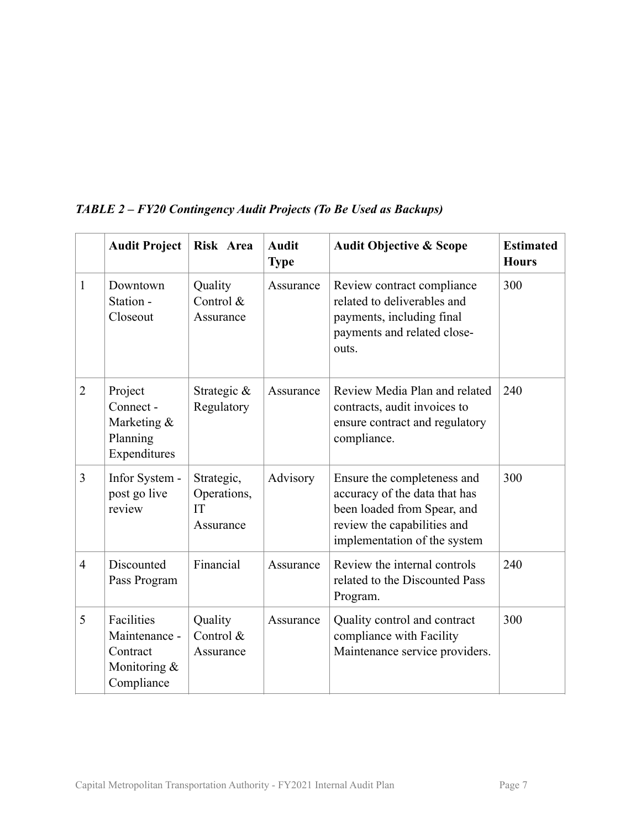|                | <b>Audit Project</b>                                                  | Risk Area                                    | <b>Audit</b><br><b>Type</b> | <b>Audit Objective &amp; Scope</b>                                                                                                                         | <b>Estimated</b><br><b>Hours</b> |
|----------------|-----------------------------------------------------------------------|----------------------------------------------|-----------------------------|------------------------------------------------------------------------------------------------------------------------------------------------------------|----------------------------------|
| $\mathbf{1}$   | Downtown<br>Station -<br>Closeout                                     | Quality<br>Control &<br>Assurance            | Assurance                   | Review contract compliance<br>related to deliverables and<br>payments, including final<br>payments and related close-<br>outs.                             | 300                              |
| $\overline{2}$ | Project<br>Connect -<br>Marketing &<br>Planning<br>Expenditures       | Strategic &<br>Regulatory                    | Assurance                   | Review Media Plan and related<br>contracts, audit invoices to<br>ensure contract and regulatory<br>compliance.                                             | 240                              |
| 3              | Infor System -<br>post go live<br>review                              | Strategic,<br>Operations,<br>IT<br>Assurance | Advisory                    | Ensure the completeness and<br>accuracy of the data that has<br>been loaded from Spear, and<br>review the capabilities and<br>implementation of the system | 300                              |
| $\overline{4}$ | Discounted<br>Pass Program                                            | Financial                                    | Assurance                   | Review the internal controls<br>related to the Discounted Pass<br>Program.                                                                                 | 240                              |
| 5              | Facilities<br>Maintenance -<br>Contract<br>Monitoring &<br>Compliance | Quality<br>Control &<br>Assurance            | Assurance                   | Quality control and contract<br>compliance with Facility<br>Maintenance service providers.                                                                 | 300                              |

#### *TABLE 2 – FY20 Contingency Audit Projects (To Be Used as Backups)*